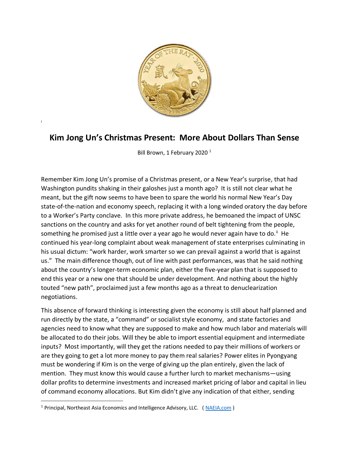

# **Kim Jong Un's Christmas Present: More About Dollars Than Sense**

i

Bill Brown, 1 February 2020<sup>1</sup>

Remember Kim Jong Un's promise of a Christmas present, or a New Year's surprise, that had Washington pundits shaking in their galoshes just a month ago? It is still not clear what he meant, but the gift now seems to have been to spare the world his normal New Year's Day state-of-the-nation and economy speech, replacing it with a long winded oratory the day before to a Worker's Party conclave. In this more private address, he bemoaned the impact of UNSC sanctions on the country and asks for yet another round of belt tightening from the people, something he promised just a little over a year ago he would never again have to do.<sup>ii</sup> He continued his year-long complaint about weak management of state enterprises culminating in his usual dictum: "work harder, work smarter so we can prevail against a world that is against us." The main difference though, out of line with past performances, was that he said nothing about the country's longer-term economic plan, either the five-year plan that is supposed to end this year or a new one that should be under development. And nothing about the highly touted "new path", proclaimed just a few months ago as a threat to denuclearization negotiations.

This absence of forward thinking is interesting given the economy is still about half planned and run directly by the state, a "command" or socialist style economy, and state factories and agencies need to know what they are supposed to make and how much labor and materials will be allocated to do their jobs. Will they be able to import essential equipment and intermediate inputs? Most importantly, will they get the rations needed to pay their millions of workers or are they going to get a lot more money to pay them real salaries? Power elites in Pyongyang must be wondering if Kim is on the verge of giving up the plan entirely, given the lack of mention. They must know this would cause a further lurch to market mechanisms—using dollar profits to determine investments and increased market pricing of labor and capital in lieu of command economy allocations. But Kim didn't give any indication of that either, sending

<sup>&</sup>lt;sup>1</sup> Principal, Northeast Asia Economics and Intelligence Advisory, LLC. (NAEIA.com)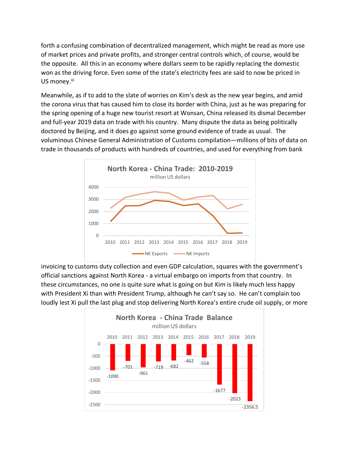forth a confusing combination of decentralized management, which might be read as more use of market prices and private profits, and stronger central controls which, of course, would be the opposite. All this in an economy where dollars seem to be rapidly replacing the domestic won as the driving force. Even some of the state's electricity fees are said to now be priced in US money.<sup>iii</sup>

Meanwhile, as if to add to the slate of worries on Kim's desk as the new year begins, and amid the corona virus that has caused him to close its border with China, just as he was preparing for the spring opening of a huge new tourist resort at Wonsan, China released its dismal December and full-year 2019 data on trade with his country. Many dispute the data as being politically doctored by Beijing, and it does go against some ground evidence of trade as usual. The voluminous Chinese General Administration of Customs compilation—millions of bits of data on trade in thousands of products with hundreds of countries, and used for everything from bank



invoicing to customs duty collection and even GDP calculation, squares with the government's official sanctions against North Korea - a virtual embargo on imports from that country. In these circumstances, no one is quite sure what is going on but Kim is likely much less happy with President Xi than with President Trump, although he can't say so. He can't complain too loudly lest Xi pull the last plug and stop delivering North Korea's entire crude oil supply, or more

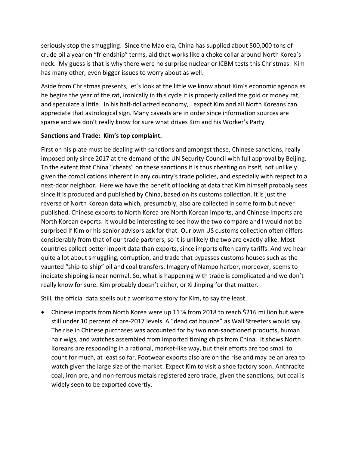seriously stop the smuggling. Since the Mao era, China has supplied about 500,000 tons of crude oil a year on "friendship" terms, aid that works like a choke collar around North Korea's neck. My guess is that is why there were no surprise nuclear or ICBM tests this Christmas. Kim has many other, even bigger issues to worry about as well.

Aside from Christmas presents, let's look at the little we know about Kim's economic agenda as he begins the year of the rat, ironically in this cycle it is properly called the gold or money rat, and speculate a little. In his half-dollarized economy, I expect Kim and all North Koreans can appreciate that astrological sign. Many caveats are in order since information sources are sparse and we don't really know for sure what drives Kim and his Worker's Party.

## **Sanctions and Trade: Kim's top complaint.**

First on his plate must be dealing with sanctions and amongst these, Chinese sanctions, really imposed only since 2017 at the demand of the UN Security Council with full approval by Beijing. To the extent that China "cheats" on these sanctions it is thus cheating on itself, not unlikely given the complications inherent in any country's trade policies, and especially with respect to a next-door neighbor. Here we have the benefit of looking at data that Kim himself probably sees since it is produced and published by China, based on its customs collection. It is just the reverse of North Korean data which, presumably, also are collected in some form but never published. Chinese exports to North Korea are North Korean imports, and Chinese imports are North Korean exports. It would be interesting to see how the two compare and I would not be surprised if Kim or his senior advisors ask for that. Our own US customs collection often differs considerably from that of our trade partners, so it is unlikely the two are exactly alike. Most countries collect better import data than exports, since imports often carry tariffs. And we hear quite a lot about smuggling, corruption, and trade that bypasses customs houses such as the vaunted "ship-to-ship" oil and coal transfers. Imagery of Nampo harbor, moreover, seems to indicate shipping is near normal. So, what is happening with trade is complicated and we don't really know for sure. Kim probably doesn't either, or Xi Jinping for that matter.

Still, the official data spells out a worrisome story for Kim, to say the least.

• Chinese imports from North Korea were up 11 % from 2018 to reach \$216 million but were still under 10 percent of pre-2017 levels. A "dead cat bounce" as Wall Streeters would say. The rise in Chinese purchases was accounted for by two non-sanctioned products, human hair wigs, and watches assembled from imported timing chips from China. It shows North Koreans are responding in a rational, market-like way, but their efforts are too small to count for much, at least so far. Footwear exports also are on the rise and may be an area to watch given the large size of the market. Expect Kim to visit a shoe factory soon. Anthracite coal, iron ore, and non-ferrous metals registered zero trade, given the sanctions, but coal is widely seen to be exported covertly.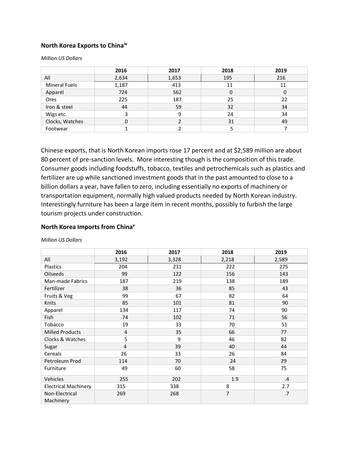### **North Korea Exports to Chinaiv**

*Million US Dollars* 

|                      | 2016  | 2017  | 2018 | 2019 |
|----------------------|-------|-------|------|------|
| All                  | 2,634 | 1,653 | 195  | 216  |
| <b>Mineral Fuels</b> | 1,187 | 413   | 11   | 11   |
| Apparel              | 724   | 562   | 0    | 0    |
| Ores                 | 225   | 187   | 25   | 22   |
| Iron & steel         | 44    | 59    | 32   | 34   |
| Wigs etc.            | 3     | 9     | 24   | 34   |
| Clocks, Watches      | 0     |       | 31   | 49   |
| Footwear             |       |       |      |      |

Chinese exports, that is North Korean imports rose 17 percent and at \$2,589 million are about 80 percent of pre-sanction levels. More interesting though is the composition of this trade. Consumer goods including foodstuffs, tobacco, textiles and petrochemicals such as plastics and fertilizer are up while sanctioned investment goods that in the past amounted to close to a billion dollars a year, have fallen to zero, including essentially no exports of machinery or transportation equipment, normally high valued products needed by North Korean industry. Interestingly furniture has been a large item in recent months, possibly to furbish the large tourism projects under construction.

#### **North Korea Imports from China<sup>v</sup>**

|                             | 2016           | 2017  | 2018           | 2019    |
|-----------------------------|----------------|-------|----------------|---------|
| All                         | 3,192          | 3,328 | 2,218          | 2,589   |
| Plastics                    | 204            | 231   | 222            | 275     |
| Oilseeds                    | 99             | 122   | 156            | 143     |
| Man-made Fabrics            | 187            | 219   | 138            | 189     |
| Fertilizer                  | 38             | 36    | 85             | 43      |
| Fruits & Veg                | 99             | 67    | 82             | 64      |
| Knits                       | 85             | 101   | 81             | 90      |
| Apparel                     | 134            | 117   | 74             | 90      |
| Fish                        | 74             | 102   | 71             | 56      |
| Tobacco                     | 19             | 33    | 70             | 51      |
| <b>Milled Products</b>      | $\overline{4}$ | 35    | 66             | 77      |
| Clocks & Watches            | 5              | 9     | 46             | 82      |
| Sugar                       | 4              | 39    | 40             | 44      |
| Cereals                     | 26             | 33    | 26             | 84      |
| Petroleum Prod              | 114            | 70    | 24             | 29      |
| Furniture                   | 49             | 60    | 58             | 75      |
| Vehicles                    | 255            | 202   | 1.9            | $\cdot$ |
| <b>Electrical Machinery</b> | 315            | 338   | 8              | 2.7     |
| Non-Electrical<br>Machinery | 269            | 268   | $\overline{7}$ | .7      |

*Million US Dollars*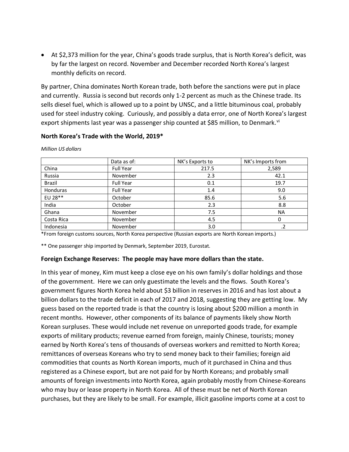• At \$2,373 million for the year, China's goods trade surplus, that is North Korea's deficit, was by far the largest on record. November and December recorded North Korea's largest monthly deficits on record.

By partner, China dominates North Korean trade, both before the sanctions were put in place and currently. Russia is second but records only 1-2 percent as much as the Chinese trade. Its sells diesel fuel, which is allowed up to a point by UNSC, and a little bituminous coal, probably used for steel industry coking. Curiously, and possibly a data error, one of North Korea's largest export shipments last year was a passenger ship counted at \$85 million, to Denmark.<sup>vi</sup>

|                 | Data as of:      | NK's Exports to | NK's Imports from |
|-----------------|------------------|-----------------|-------------------|
| China           | <b>Full Year</b> | 217.5           | 2,589             |
| Russia          | November         | 2.3             | 42.1              |
| <b>Brazil</b>   | <b>Full Year</b> | 0.1             | 19.7              |
| <b>Honduras</b> | <b>Full Year</b> | 1.4             | 9.0               |
| EU 28**         | October          | 85.6            | 5.6               |
| India           | October          | 2.3             | 8.8               |
| Ghana           | November         | 7.5             | <b>NA</b>         |
| Costa Rica      | November         | 4.5             | 0                 |
| Indonesia       | November         | 3.0             |                   |

#### **North Korea's Trade with the World, 2019\***

*Million US dollars*

\*From foreign customs sources, North Korea perspective (Russian exports are North Korean imports.)

\*\* One passenger ship imported by Denmark, September 2019, Eurostat.

#### **Foreign Exchange Reserves: The people may have more dollars than the state.**

In this year of money, Kim must keep a close eye on his own family's dollar holdings and those of the government. Here we can only guestimate the levels and the flows. South Korea's government figures North Korea held about \$3 billion in reserves in 2016 and has lost about a billion dollars to the trade deficit in each of 2017 and 2018, suggesting they are getting low. My guess based on the reported trade is that the country is losing about \$200 million a month in recent months. However, other components of its balance of payments likely show North Korean surpluses. These would include net revenue on unreported goods trade, for example exports of military products; revenue earned from foreign, mainly Chinese, tourists; money earned by North Korea's tens of thousands of overseas workers and remitted to North Korea; remittances of overseas Koreans who try to send money back to their families; foreign aid commodities that counts as North Korean imports, much of it purchased in China and thus registered as a Chinese export, but are not paid for by North Koreans; and probably small amounts of foreign investments into North Korea, again probably mostly from Chinese-Koreans who may buy or lease property in North Korea. All of these must be net of North Korean purchases, but they are likely to be small. For example, illicit gasoline imports come at a cost to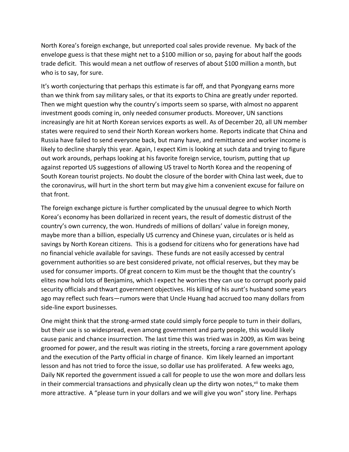North Korea's foreign exchange, but unreported coal sales provide revenue. My back of the envelope guess is that these might net to a \$100 million or so, paying for about half the goods trade deficit. This would mean a net outflow of reserves of about \$100 million a month, but who is to say, for sure.

It's worth conjecturing that perhaps this estimate is far off, and that Pyongyang earns more than we think from say military sales, or that its exports to China are greatly under reported. Then we might question why the country's imports seem so sparse, with almost no apparent investment goods coming in, only needed consumer products. Moreover, UN sanctions increasingly are hit at North Korean services exports as well. As of December 20, all UN member states were required to send their North Korean workers home. Reports indicate that China and Russia have failed to send everyone back, but many have, and remittance and worker income is likely to decline sharply this year. Again, I expect Kim is looking at such data and trying to figure out work arounds, perhaps looking at his favorite foreign service, tourism, putting that up against reported US suggestions of allowing US travel to North Korea and the reopening of South Korean tourist projects. No doubt the closure of the border with China last week, due to the coronavirus, will hurt in the short term but may give him a convenient excuse for failure on that front.

The foreign exchange picture is further complicated by the unusual degree to which North Korea's economy has been dollarized in recent years, the result of domestic distrust of the country's own currency, the won. Hundreds of millions of dollars' value in foreign money, maybe more than a billion, especially US currency and Chinese yuan, circulates or is held as savings by North Korean citizens. This is a godsend for citizens who for generations have had no financial vehicle available for savings. These funds are not easily accessed by central government authorities so are best considered private, not official reserves, but they may be used for consumer imports. Of great concern to Kim must be the thought that the country's elites now hold lots of Benjamins, which I expect he worries they can use to corrupt poorly paid security officials and thwart government objectives. His killing of his aunt's husband some years ago may reflect such fears—rumors were that Uncle Huang had accrued too many dollars from side-line export businesses.

One might think that the strong-armed state could simply force people to turn in their dollars, but their use is so widespread, even among government and party people, this would likely cause panic and chance insurrection. The last time this was tried was in 2009, as Kim was being groomed for power, and the result was rioting in the streets, forcing a rare government apology and the execution of the Party official in charge of finance. Kim likely learned an important lesson and has not tried to force the issue, so dollar use has proliferated. A few weeks ago, Daily NK reported the government issued a call for people to use the won more and dollars less in their commercial transactions and physically clean up the dirty won notes,  $v$  to make them more attractive. A "please turn in your dollars and we will give you won" story line. Perhaps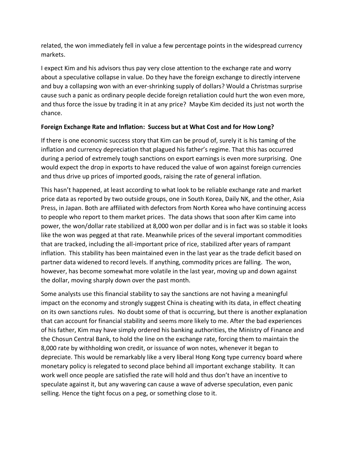related, the won immediately fell in value a few percentage points in the widespread currency markets.

I expect Kim and his advisors thus pay very close attention to the exchange rate and worry about a speculative collapse in value. Do they have the foreign exchange to directly intervene and buy a collapsing won with an ever-shrinking supply of dollars? Would a Christmas surprise cause such a panic as ordinary people decide foreign retaliation could hurt the won even more, and thus force the issue by trading it in at any price? Maybe Kim decided its just not worth the chance.

## **Foreign Exchange Rate and Inflation: Success but at What Cost and for How Long?**

If there is one economic success story that Kim can be proud of, surely it is his taming of the inflation and currency depreciation that plagued his father's regime. That this has occurred during a period of extremely tough sanctions on export earnings is even more surprising. One would expect the drop in exports to have reduced the value of won against foreign currencies and thus drive up prices of imported goods, raising the rate of general inflation.

This hasn't happened, at least according to what look to be reliable exchange rate and market price data as reported by two outside groups, one in South Korea, Daily NK, and the other, Asia Press, in Japan. Both are affiliated with defectors from North Korea who have continuing access to people who report to them market prices. The data shows that soon after Kim came into power, the won/dollar rate stabilized at 8,000 won per dollar and is in fact was so stable it looks like the won was pegged at that rate. Meanwhile prices of the several important commodities that are tracked, including the all-important price of rice, stabilized after years of rampant inflation. This stability has been maintained even in the last year as the trade deficit based on partner data widened to record levels. If anything, commodity prices are falling. The won, however, has become somewhat more volatile in the last year, moving up and down against the dollar, moving sharply down over the past month.

Some analysts use this financial stability to say the sanctions are not having a meaningful impact on the economy and strongly suggest China is cheating with its data, in effect cheating on its own sanctions rules. No doubt some of that is occurring, but there is another explanation that can account for financial stability and seems more likely to me. After the bad experiences of his father, Kim may have simply ordered his banking authorities, the Ministry of Finance and the Chosun Central Bank, to hold the line on the exchange rate, forcing them to maintain the 8,000 rate by withholding won credit, or issuance of won notes, whenever it began to depreciate. This would be remarkably like a very liberal Hong Kong type currency board where monetary policy is relegated to second place behind all important exchange stability. It can work well once people are satisfied the rate will hold and thus don't have an incentive to speculate against it, but any wavering can cause a wave of adverse speculation, even panic selling. Hence the tight focus on a peg, or something close to it.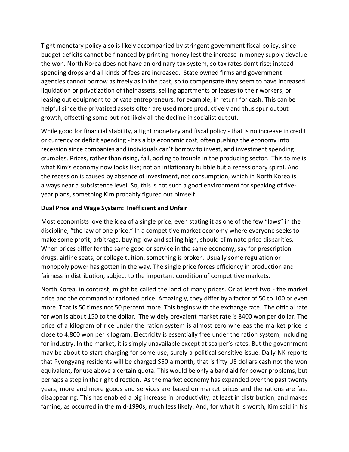Tight monetary policy also is likely accompanied by stringent government fiscal policy, since budget deficits cannot be financed by printing money lest the increase in money supply devalue the won. North Korea does not have an ordinary tax system, so tax rates don't rise; instead spending drops and all kinds of fees are increased. State owned firms and government agencies cannot borrow as freely as in the past, so to compensate they seem to have increased liquidation or privatization of their assets, selling apartments or leases to their workers, or leasing out equipment to private entrepreneurs, for example, in return for cash. This can be helpful since the privatized assets often are used more productively and thus spur output growth, offsetting some but not likely all the decline in socialist output.

While good for financial stability, a tight monetary and fiscal policy - that is no increase in credit or currency or deficit spending - has a big economic cost, often pushing the economy into recession since companies and individuals can't borrow to invest, and investment spending crumbles. Prices, rather than rising, fall, adding to trouble in the producing sector. This to me is what Kim's economy now looks like; not an inflationary bubble but a recessionary spiral. And the recession is caused by absence of investment, not consumption, which in North Korea is always near a subsistence level. So, this is not such a good environment for speaking of fiveyear plans, something Kim probably figured out himself.

### **Dual Price and Wage System: Inefficient and Unfair**

Most economists love the idea of a single price, even stating it as one of the few "laws" in the discipline, "the law of one price." In a competitive market economy where everyone seeks to make some profit, arbitrage, buying low and selling high, should eliminate price disparities. When prices differ for the same good or service in the same economy, say for prescription drugs, airline seats, or college tuition, something is broken. Usually some regulation or monopoly power has gotten in the way. The single price forces efficiency in production and fairness in distribution, subject to the important condition of competitive markets.

North Korea, in contrast, might be called the land of many prices. Or at least two - the market price and the command or rationed price. Amazingly, they differ by a factor of 50 to 100 or even more. That is 50 times not 50 percent more. This begins with the exchange rate. The official rate for won is about 150 to the dollar. The widely prevalent market rate is 8400 won per dollar. The price of a kilogram of rice under the ration system is almost zero whereas the market price is close to 4,800 won per kilogram. Electricity is essentially free under the ration system, including for industry. In the market, it is simply unavailable except at scalper's rates. But the government may be about to start charging for some use, surely a political sensitive issue. Daily NK reports that Pyongyang residents will be charged \$50 a month, that is fifty US dollars cash not the won equivalent, for use above a certain quota. This would be only a band aid for power problems, but perhaps a step in the right direction. As the market economy has expanded over the past twenty years, more and more goods and services are based on market prices and the rations are fast disappearing. This has enabled a big increase in productivity, at least in distribution, and makes famine, as occurred in the mid-1990s, much less likely. And, for what it is worth, Kim said in his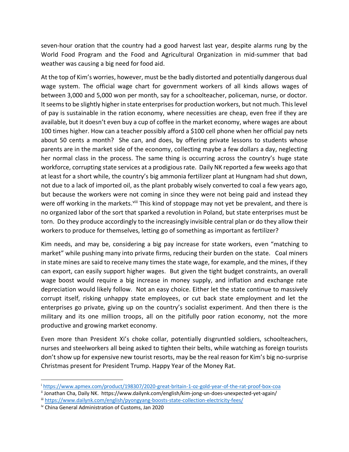seven-hour oration that the country had a good harvest last year, despite alarms rung by the World Food Program and the Food and Agricultural Organization in mid-summer that bad weather was causing a big need for food aid.

At the top of Kim's worries, however, must be the badly distorted and potentially dangerous dual wage system. The official wage chart for government workers of all kinds allows wages of between 3,000 and 5,000 won per month, say for a schoolteacher, policeman, nurse, or doctor. It seems to be slightly higher in state enterprises for production workers, but not much. This level of pay is sustainable in the ration economy, where necessities are cheap, even free if they are available, but it doesn't even buy a cup of coffee in the market economy, where wages are about 100 times higher. How can a teacher possibly afford a \$100 cell phone when her official pay nets about 50 cents a month? She can, and does, by offering private lessons to students whose parents are in the market side of the economy, collecting maybe a few dollars a day, neglecting her normal class in the process. The same thing is occurring across the country's huge state workforce, corrupting state services at a prodigious rate. Daily NK reported a few weeks ago that at least for a short while, the country's big ammonia fertilizer plant at Hungnam had shut down, not due to a lack of imported oil, as the plant probably wisely converted to coal a few years ago, but because the workers were not coming in since they were not being paid and instead they were off working in the markets.<sup>viii</sup> This kind of stoppage may not yet be prevalent, and there is no organized labor of the sort that sparked a revolution in Poland, but state enterprises must be torn. Do they produce accordingly to the increasingly invisible central plan or do they allow their workers to produce for themselves, letting go of something as important as fertilizer?

Kim needs, and may be, considering a big pay increase for state workers, even "matching to market" while pushing many into private firms, reducing their burden on the state. Coal miners in state mines are said to receive many times the state wage, for example, and the mines, if they can export, can easily support higher wages. But given the tight budget constraints, an overall wage boost would require a big increase in money supply, and inflation and exchange rate depreciation would likely follow. Not an easy choice. Either let the state continue to massively corrupt itself, risking unhappy state employees, or cut back state employment and let the enterprises go private, giving up on the country's socialist experiment. And then there is the military and its one million troops, all on the pitifully poor ration economy, not the more productive and growing market economy.

Even more than President Xi's choke collar, potentially disgruntled soldiers, schoolteachers, nurses and steelworkers all being asked to tighten their belts, while watching as foreign tourists don't show up for expensive new tourist resorts, may be the real reason for Kim's big no-surprise Christmas present for President Trump. Happy Year of the Money Rat.

<sup>i</sup> <https://www.apmex.com/product/198307/2020-great-britain-1-oz-gold-year-of-the-rat-proof-box-coa>

ii Jonathan Cha, Daily NK. https://www.dailynk.com/english/kim-jong-un-does-unexpected-yet-again/

iii <https://www.dailynk.com/english/pyongyang-boosts-state-collection-electricity-fees/>

iv China General Administration of Customs, Jan 2020